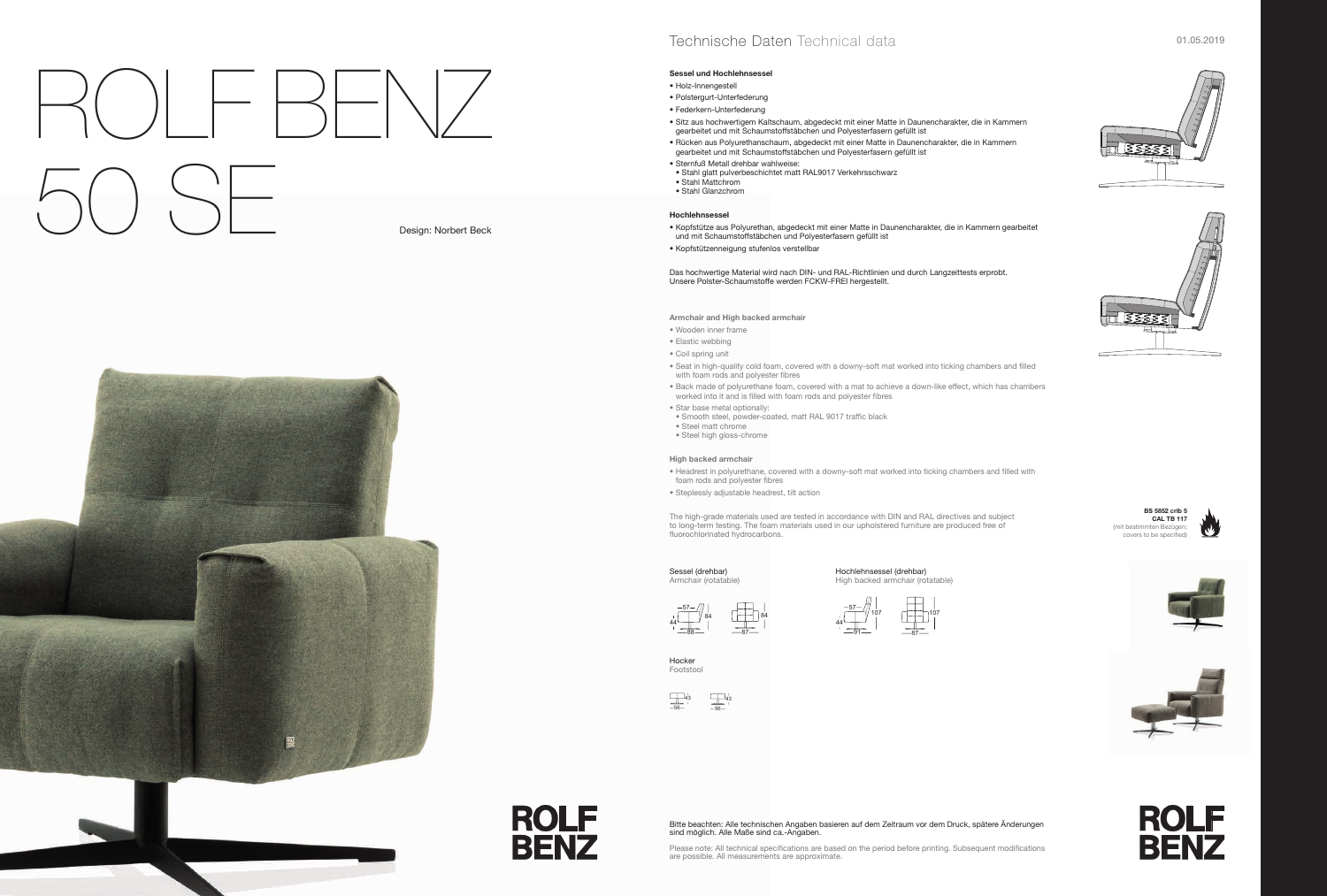#### **Sessel und Hochlehnsessel**

- Holz-Innengestell
- Polstergurt-Unterfederung
- Federkern-Unterfederung
- Sitz aus hochwertigem Kaltschaum, abgedeckt mit einer Matte in Daunencharakter, die in Kammern gearbeitet und mit Schaumstoffstäbchen und Polyesterfasern gefüllt ist
- Rücken aus Polyurethanschaum, abgedeckt mit einer Matte in Daunencharakter, die in Kammern gearbeitet und mit Schaumstoffstäbchen und Polyesterfasern gefüllt ist
- Sternfuß Metall drehbar wahlweise:
- Stahl glatt pulverbeschichtet matt RAL9017 Verkehrsschwarz • Stahl Mattchrom
- Stahl Glanzchrom

### **Hochlehnsessel**

- Kopfstütze aus Polyurethan, abgedeckt mit einer Matte in Daunencharakter, die in Kammern gearbeitet und mit Schaumstoffstäbchen und Polyesterfasern gefüllt ist
- Kopfstützenneigung stufenlos verstellbar

Das hochwertige Material wird nach DIN- und RAL-Richtlinien und durch Langzeittests erprobt. Unsere Polster-Schaumstoffe werden FCKW-FREI hergestellt.

The high-grade materials used are tested in accordance with DIN and RAL directives and subject to long-term testing. The foam materials used in our upholstered furniture are produced free of fluorochlorinated hydrocarbons.

**Armchair and High backed armchair**

- Wooden inner frame
- Elastic webbing
- Coil spring unit
- Seat in high-quality cold foam, covered with a downy-soft mat worked into ticking chambers and filled with foam rods and polyester fibres
- Back made of polyurethane foam, covered with a mat to achieve a down-like effect, which has chambers worked into it and is filled with foam rods and polyester fibres
- Star base metal optionally:
- Smooth steel, powder-coated, matt RAL 9017 traffic black
- Steel matt chrome • Steel high gloss-chrome

#### **High backed armchair**

- Headrest in polyurethane, covered with a downy-soft mat worked into ticking chambers and filled with foam rods and polyester fibres
- Steplessly adjustable headrest, tilt action

Sessel (drehbar) Armchair (rotatable)

#### Hochlehnsessel (drehbar) High backed armchair (rotatable)

Hocker Footstool

**ROLF** 

**BENZ** 



# ROLF BENZ 50 SE Design: Norbert Beck





## Technische Daten Technical data and an annual states of the contract of the contract of the contract of the contract of the contract of the contract of the contract of the contract of the contract of the contract of the co

Please note: All technical specifications are based on the period before printing. Subsequent modifications are possible. All measurements are approximate.







**BS 5852 crib 5 CAL TB 117**  (mit bestimmten Bezügen; covers to be specified)











87

107